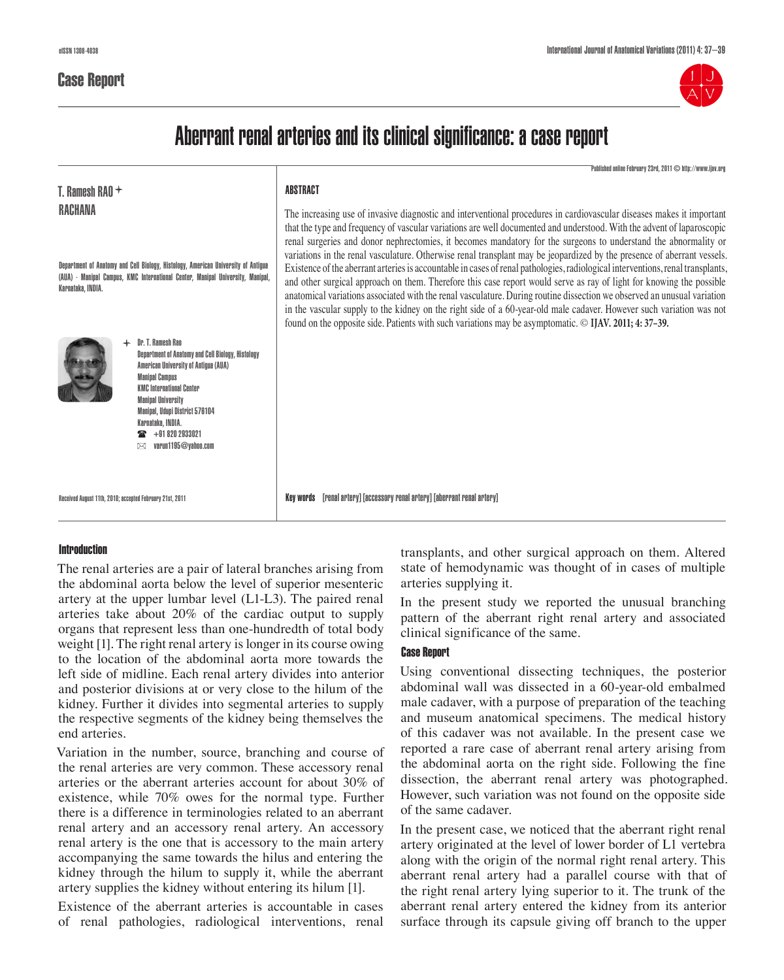

# Aberrant renal arteries and its clinical significance: a case report

Published online February 23rd, 2011 © http://www.ijav.org

| T. Ramesh RAO $+$<br>RACHANA<br>Department of Anatomy and Cell Biology, Histology, American University of Antigua<br>(AUA) - Manipal Campus, KMC International Center, Manipal University, Manipal,<br>Karnataka, INDIA.                                                                                                          | ABSTRACT<br>The increasing use of invasive diagnostic and interventional procedures in cardiovascular diseases makes it important<br>that the type and frequency of vascular variations are well documented and understood. With the advent of laparoscopic<br>renal surgeries and donor nephrectomies, it becomes mandatory for the surgeons to understand the abnormality or<br>variations in the renal vasculature. Otherwise renal transplant may be jeopardized by the presence of aberrant vessels.<br>Existence of the aberrant arteries is accountable in cases of renal pathologies, radiological interventions, renal transplants,<br>and other surgical approach on them. Therefore this case report would serve as ray of light for knowing the possible<br>anatomical variations associated with the renal vasculature. During routine dissection we observed an unusual variation<br>in the vascular supply to the kidney on the right side of a 60-year-old male cadaver. However such variation was not<br>found on the opposite side. Patients with such variations may be asymptomatic. © IJAV. 2011; 4: 37-39. |
|-----------------------------------------------------------------------------------------------------------------------------------------------------------------------------------------------------------------------------------------------------------------------------------------------------------------------------------|-----------------------------------------------------------------------------------------------------------------------------------------------------------------------------------------------------------------------------------------------------------------------------------------------------------------------------------------------------------------------------------------------------------------------------------------------------------------------------------------------------------------------------------------------------------------------------------------------------------------------------------------------------------------------------------------------------------------------------------------------------------------------------------------------------------------------------------------------------------------------------------------------------------------------------------------------------------------------------------------------------------------------------------------------------------------------------------------------------------------------------------|
| Dr. T. Ramesh Rao<br>Department of Anatomy and Cell Biology, Histology<br>American University of Antigua (AUA)<br><b>Manipal Campus</b><br><b>KMC International Center</b><br><b>Manipal University</b><br><b>Manipal, Udupi District 576104</b><br>Karnataka, INDIA.<br>$\mathbf{2}$ +91 820 2933021<br>varun1195@vahoo.com<br>⊠ |                                                                                                                                                                                                                                                                                                                                                                                                                                                                                                                                                                                                                                                                                                                                                                                                                                                                                                                                                                                                                                                                                                                                   |
| Received August 11th, 2010; accepted February 21st, 2011                                                                                                                                                                                                                                                                          | [renal artery] [accessory renal artery] [aberrant renal artery]<br>Kev words                                                                                                                                                                                                                                                                                                                                                                                                                                                                                                                                                                                                                                                                                                                                                                                                                                                                                                                                                                                                                                                      |

# Introduction

The renal arteries are a pair of lateral branches arising from the abdominal aorta below the level of superior mesenteric artery at the upper lumbar level (L1-L3). The paired renal arteries take about 20% of the cardiac output to supply organs that represent less than one-hundredth of total body weight [1]. The right renal artery is longer in its course owing to the location of the abdominal aorta more towards the left side of midline. Each renal artery divides into anterior and posterior divisions at or very close to the hilum of the kidney. Further it divides into segmental arteries to supply the respective segments of the kidney being themselves the end arteries.

Variation in the number, source, branching and course of the renal arteries are very common. These accessory renal arteries or the aberrant arteries account for about 30% of existence, while 70% owes for the normal type. Further there is a difference in terminologies related to an aberrant renal artery and an accessory renal artery. An accessory renal artery is the one that is accessory to the main artery accompanying the same towards the hilus and entering the kidney through the hilum to supply it, while the aberrant artery supplies the kidney without entering its hilum [1].

Existence of the aberrant arteries is accountable in cases of renal pathologies, radiological interventions, renal transplants, and other surgical approach on them. Altered state of hemodynamic was thought of in cases of multiple arteries supplying it.

In the present study we reported the unusual branching pattern of the aberrant right renal artery and associated clinical significance of the same.

# Case Report

Using conventional dissecting techniques, the posterior abdominal wall was dissected in a 60-year-old embalmed male cadaver, with a purpose of preparation of the teaching and museum anatomical specimens. The medical history of this cadaver was not available. In the present case we reported a rare case of aberrant renal artery arising from the abdominal aorta on the right side. Following the fine dissection, the aberrant renal artery was photographed. However, such variation was not found on the opposite side of the same cadaver.

In the present case, we noticed that the aberrant right renal artery originated at the level of lower border of L1 vertebra along with the origin of the normal right renal artery. This aberrant renal artery had a parallel course with that of the right renal artery lying superior to it. The trunk of the aberrant renal artery entered the kidney from its anterior surface through its capsule giving off branch to the upper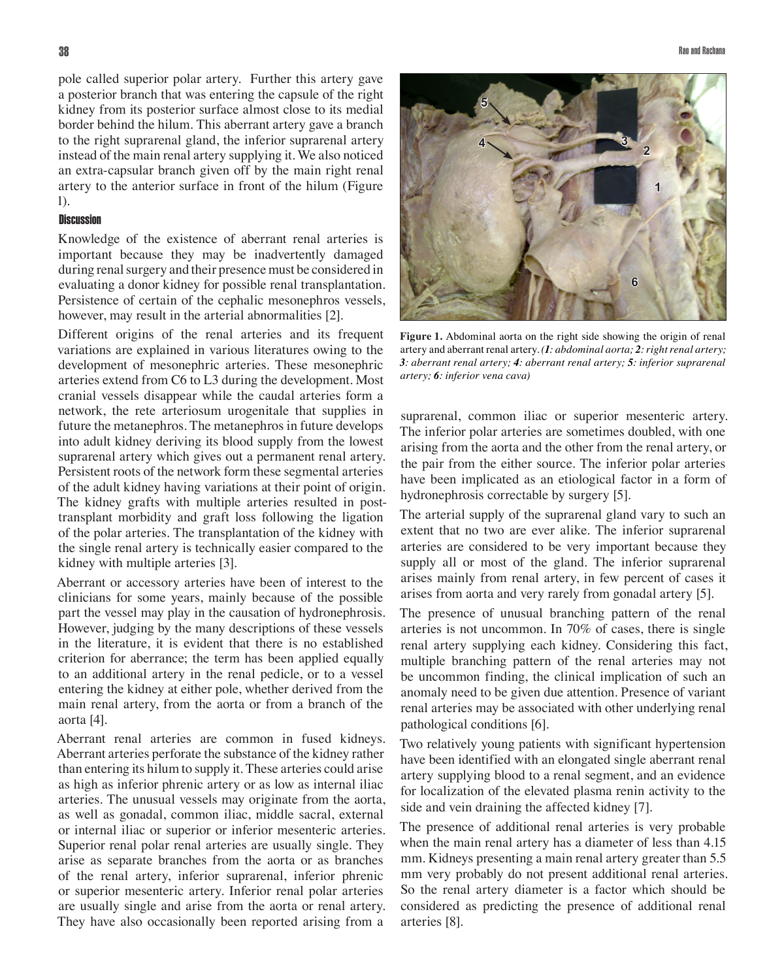pole called superior polar artery. Further this artery gave a posterior branch that was entering the capsule of the right kidney from its posterior surface almost close to its medial border behind the hilum. This aberrant artery gave a branch to the right suprarenal gland, the inferior suprarenal artery instead of the main renal artery supplying it. We also noticed an extra-capsular branch given off by the main right renal artery to the anterior surface in front of the hilum (Figure 1).

## **Discussion**

Knowledge of the existence of aberrant renal arteries is important because they may be inadvertently damaged during renal surgery and their presence must be considered in evaluating a donor kidney for possible renal transplantation. Persistence of certain of the cephalic mesonephros vessels, however, may result in the arterial abnormalities [2].

Different origins of the renal arteries and its frequent variations are explained in various literatures owing to the development of mesonephric arteries. These mesonephric arteries extend from C6 to L3 during the development. Most cranial vessels disappear while the caudal arteries form a network, the rete arteriosum urogenitale that supplies in future the metanephros. The metanephros in future develops into adult kidney deriving its blood supply from the lowest suprarenal artery which gives out a permanent renal artery. Persistent roots of the network form these segmental arteries of the adult kidney having variations at their point of origin. The kidney grafts with multiple arteries resulted in posttransplant morbidity and graft loss following the ligation of the polar arteries. The transplantation of the kidney with the single renal artery is technically easier compared to the kidney with multiple arteries [3].

Aberrant or accessory arteries have been of interest to the clinicians for some years, mainly because of the possible part the vessel may play in the causation of hydronephrosis. However, judging by the many descriptions of these vessels in the literature, it is evident that there is no established criterion for aberrance; the term has been applied equally to an additional artery in the renal pedicle, or to a vessel entering the kidney at either pole, whether derived from the main renal artery, from the aorta or from a branch of the aorta [4].

Aberrant renal arteries are common in fused kidneys. Aberrant arteries perforate the substance of the kidney rather than entering its hilum to supply it. These arteries could arise as high as inferior phrenic artery or as low as internal iliac arteries. The unusual vessels may originate from the aorta, as well as gonadal, common iliac, middle sacral, external or internal iliac or superior or inferior mesenteric arteries. Superior renal polar renal arteries are usually single. They arise as separate branches from the aorta or as branches of the renal artery, inferior suprarenal, inferior phrenic or superior mesenteric artery. Inferior renal polar arteries are usually single and arise from the aorta or renal artery. They have also occasionally been reported arising from a



**Figure 1.** Abdominal aorta on the right side showing the origin of renal artery and aberrant renal artery. *(1: abdominal aorta; 2: right renal artery; 3: aberrant renal artery; 4: aberrant renal artery; 5: inferior suprarenal artery; 6: inferior vena cava)*

suprarenal, common iliac or superior mesenteric artery. The inferior polar arteries are sometimes doubled, with one arising from the aorta and the other from the renal artery, or the pair from the either source. The inferior polar arteries have been implicated as an etiological factor in a form of hydronephrosis correctable by surgery [5].

The arterial supply of the suprarenal gland vary to such an extent that no two are ever alike. The inferior suprarenal arteries are considered to be very important because they supply all or most of the gland. The inferior suprarenal arises mainly from renal artery, in few percent of cases it arises from aorta and very rarely from gonadal artery [5].

The presence of unusual branching pattern of the renal arteries is not uncommon. In 70% of cases, there is single renal artery supplying each kidney. Considering this fact, multiple branching pattern of the renal arteries may not be uncommon finding, the clinical implication of such an anomaly need to be given due attention. Presence of variant renal arteries may be associated with other underlying renal pathological conditions [6].

Two relatively young patients with significant hypertension have been identified with an elongated single aberrant renal artery supplying blood to a renal segment, and an evidence for localization of the elevated plasma renin activity to the side and vein draining the affected kidney [7].

The presence of additional renal arteries is very probable when the main renal artery has a diameter of less than 4.15 mm. Kidneys presenting a main renal artery greater than 5.5 mm very probably do not present additional renal arteries. So the renal artery diameter is a factor which should be considered as predicting the presence of additional renal arteries [8].